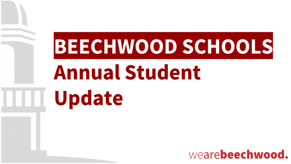# **BEECHWOOD SCHOOLS**

## **Annual Student** Update

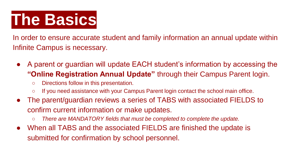## **The Basics**

In order to ensure accurate student and family information an annual update within Infinite Campus is necessary.

- A parent or guardian will update EACH student's information by accessing the **"Online Registration Annual Update"** through their Campus Parent login.
	- Directions follow in this presentation.
	- If you need assistance with your Campus Parent login contact the school main office.
- The parent/guardian reviews a series of TABS with associated FIELDS to confirm current information or make updates.
	- *There are MANDATORY fields that must be completed to complete the update.*
- When all TABS and the associated FIELDS are finished the update is submitted for confirmation by school personnel.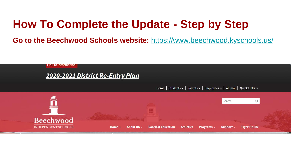### **How To Complete the Update - Step by Step**

**Go to the Beechwood Schools website:** <https://www.beechwood.kyschools.us/>

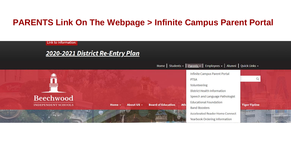#### **PARENTS Link On The Webpage > Infinite Campus Parent Portal**

Link to Information:

#### 2020-2021 District Re-Entry Plan

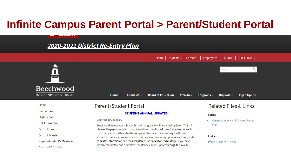### **Infinite Campus Parent Portal > Parent/Student Portal**

#### 2020-2021 District Re-Entry Plan

Home | Students ← | Parents ← | Employees ← | Alumni | Quick Links ←

|                        | DUCLIMOUU                  |                                                      |
|------------------------|----------------------------|------------------------------------------------------|
|                        | <b>INDEPENDENT SCHOOLS</b> | Home -                                               |
| Home                   |                            | Parent/Stude                                         |
| Elementary             |                            |                                                      |
| <b>High School</b>     |                            | Dear Parent/Guardian,                                |
| <b>EDGE Program</b>    |                            | Beechwood Independen                                 |
| <b>District News</b>   |                            | place of the paper packe                             |
| <b>District Events</b> |                            | child that you would hav<br>student as there is some |
|                        | Superintendent's Message   | as health information a                              |
|                        | Board of Education         | already completed, and                               |

LINK to miorination.

#### Search  $\alpha$ *HHHH*  $D$ aaabrugad **Athletics** About US -**Board of Education** Programs -Support -**Tiger Tipline** Related Files & Links **Int Portal STUDENT ANNUAL UPDATES** Forms **Campus Student and Campus Parent**  $\bullet$ App at School District has gone to online annual updates. This is in ets that may have been sent home in previous years, for each e had to complete. Annual updates are required for each Links information that requires mandatory updates each year, such ind the Acceptable Use Policy for Technology. If you have Parent/Student Portal submitted, the Online Annual Update through the Infinite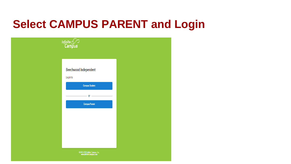### **Select CAMPUS PARENT and Login**

| $\overbrace{\mathsf{Infinite}}^{\mathsf{Infinite}}$        |  |
|------------------------------------------------------------|--|
|                                                            |  |
| Beechwood Independent                                      |  |
| Log in to<br><b>Campus Student</b>                         |  |
| $-$ or $-$<br><b>Campus Parent</b>                         |  |
|                                                            |  |
|                                                            |  |
|                                                            |  |
| ©2003-2020 Infinite Campus, Inc.<br>www.infinitecampus.com |  |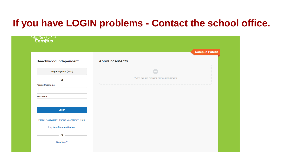#### **If you have LOGIN problems - Contact the school office.**

|                                                                           |                                      | <b>Campus Parent</b> |
|---------------------------------------------------------------------------|--------------------------------------|----------------------|
| <b>Beechwood Independent</b>                                              | <b>Announcements</b>                 |                      |
| Single Sign-On (SSO)                                                      |                                      |                      |
| or $\overline{\phantom{a}}$                                               | There are no district announcements. |                      |
| <b>Parent Username</b>                                                    |                                      |                      |
|                                                                           |                                      |                      |
|                                                                           |                                      |                      |
| <b>Password</b>                                                           |                                      |                      |
|                                                                           |                                      |                      |
| Log In                                                                    |                                      |                      |
|                                                                           |                                      |                      |
|                                                                           |                                      |                      |
| Forgot Password? Forgot Username? Help<br><b>Log in to Campus Student</b> |                                      |                      |
| <u> De Carlos de Carlos de Ca</u><br>$\overline{\mathbf{or}}$             |                                      |                      |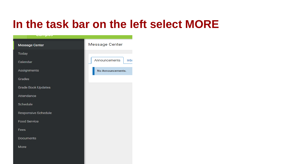### **In the task bar on the left select MORE**

| <u>compos</u>              |                       |
|----------------------------|-----------------------|
| <b>Message Center</b>      | <b>Message Center</b> |
| <b>Today</b>               |                       |
| Calendar                   | Announcements<br>Inbo |
| Assignments                | No Announcements.     |
| <b>Grades</b>              |                       |
| <b>Grade Book Updates</b>  |                       |
| Attendance                 |                       |
| <b>Schedule</b>            |                       |
| <b>Responsive Schedule</b> |                       |
| <b>Food Service</b>        |                       |
| <b>Fees</b>                |                       |
| <b>Documents</b>           |                       |
| <b>More</b>                |                       |
|                            |                       |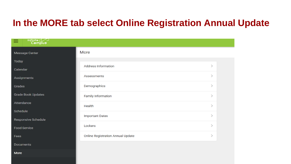#### **In the MORE tab select Online Registration Annual Update**

| Infinite<br>Campus<br>≡   |                                          |               |
|---------------------------|------------------------------------------|---------------|
| <b>Message Center</b>     | More                                     |               |
| <b>Today</b>              |                                          |               |
| Calendar                  | <b>Address Information</b>               | $\geq$        |
| Assignments               | <b>Assessments</b>                       | ≻             |
| Grades                    | Demographics                             | $\geq$        |
| <b>Grade Book Updates</b> | <b>Family Information</b>                | $\geq$        |
| Attendance                | Health                                   | $\rightarrow$ |
| <b>Schedule</b>           |                                          |               |
| Responsive Schedule       | <b>Important Dates</b>                   | $\geq$        |
| <b>Food Service</b>       | Lockers                                  | $\rightarrow$ |
| <b>Fees</b>               | <b>Online Registration Annual Update</b> | $\geq$        |

More

**Documents**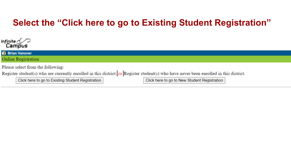#### **Select the "Click here to go to Existing Student Registration"**



| <b>Brian Vanover</b>                                                                                                                   |
|----------------------------------------------------------------------------------------------------------------------------------------|
| Online Registration                                                                                                                    |
| Please select from the following:                                                                                                      |
| Register student(s) who are currently enrolled in this district. or Register student(s) who have never been enrolled in this district. |

Click here to go to Existing Student Registration

Click here to go to New Student Registration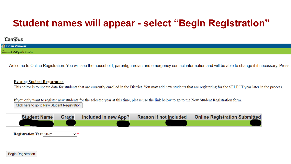#### **Student names will appear - select "Begin Registration"**

#### Campus

**IC** Brian Vanover Online Registration

Welcome to Online Registration. You will see the household, parent/guardian and emergency contact information and will be able to change it if necessary. Press t

#### **Existing Student Registration**

This editor is to update data for students that are currently enrolled in the District. You may add new students that are registering for the SELECT year later in the process.

If you only want to register new students for the selected year at this time, please use the link below to go to the New Student Registration form. Click here to go to New Student Registration

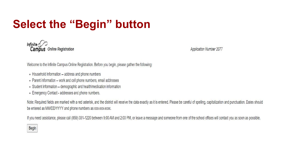## **Select the "Begin" button**

Infinite  $\mathcal{C}$ Campus Online Registration

**Application Number 2077** 

Welcome to the Infinite Campus Online Registration. Before you begin, please gather the following:

- Household information -- address and phone numbers
- Parent information -- work and cell phone numbers, email addresses
- Student information -- demographic and health/medication information
- Emergency Contact addresses and phone numbers.

Note: Required fields are marked with a red asterisk, and the district will receive the data exactly as it is entered. Please be careful of spelling, capitalization and punctuation. Dates should be entered as MM/DD/YYYY and phone numbers as xxx-xxx-xxxx.

If you need assistance, please call (859) 331-1220 between 9:00 AM and 2:00 PM, or leave a message and someone from one of the school offices will contact you as soon as possible.

#### Begin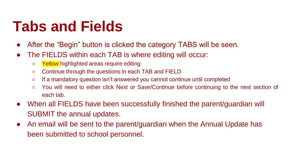## **Tabs and Fields**

- After the "Begin" button is clicked the category TABS will be seen.
- The FIELDS within each TAB is where editing will occur:
	- Yellow highlighted areas require editing
	- Continue through the questions in each TAB and FIELD
	- If a mandatory question isn't answered you cannot continue until completed
	- You will need to either click Next or Save/Continue before continuing to the next section of each tab.
- When all FIELDS have been successfully finished the parent/guardian will SUBMIT the annual updates.
- An email will be sent to the parent/guardian when the Annual Update has been submitted to school personnel.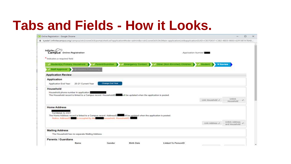## **Tabs and Fields - How it Looks.**

|                                                                                                               |                                                                                                                                                                                   |                                 | □ |
|---------------------------------------------------------------------------------------------------------------|-----------------------------------------------------------------------------------------------------------------------------------------------------------------------------------|---------------------------------|---|
|                                                                                                               | kyede1.infinitecampus.org/campus/olr2/coreOLR/portal/shell.xsl?applicationMode=admin&x=olr2.coreOLR.Olr2Main-applicationList&applicationGUID=C837DE57-C382-4BD3-B003-62FF3B7A7BAB |                                 |   |
| Infinite <sub>c</sub> $\epsilon$<br>Campus Online Registration                                                | Application Number                                                                                                                                                                |                                 |   |
| * Indicates a required field                                                                                  |                                                                                                                                                                                   |                                 |   |
| Student(s) Primary Household                                                                                  | Other (Non-Enrolled) Children<br>Parent/Guardian<br><b>Emergency Contact</b><br>Student                                                                                           | <b>WReview</b>                  |   |
| Staff Approval                                                                                                |                                                                                                                                                                                   |                                 |   |
| <b>Application Review</b>                                                                                     |                                                                                                                                                                                   |                                 |   |
| Application<br>Application End Year:<br>20-21 Current Year                                                    | Change End Year                                                                                                                                                                   |                                 |   |
| Household<br>Household phone number in application:                                                           |                                                                                                                                                                                   |                                 |   |
|                                                                                                               | The Household record is linked to a Campus record. HouseholdID Will be updated when the application is posted.                                                                    |                                 |   |
|                                                                                                               | Link Household 2                                                                                                                                                                  | Unlink<br>Household             |   |
| <b>Home Address</b><br>Fort Michell, Ky 41017<br>Notice: AddressID is occupied by the household. HouseholdID: | The Home Address record is linked to a Campus record. AddressID will be updated when the application is posted.                                                                   |                                 |   |
|                                                                                                               | Link Address Jr.                                                                                                                                                                  | Unlink Address<br>and Household |   |
| <b>Mailing Address</b><br>The Household has no separate Mailing Address.                                      |                                                                                                                                                                                   |                                 |   |
| <b>Parents / Guardians</b>                                                                                    |                                                                                                                                                                                   |                                 |   |